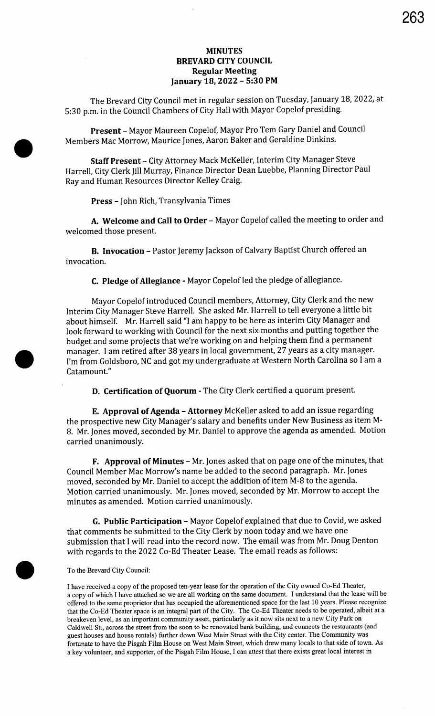## MINUTES BREVARD CITY COUNCIL Regular Meeting January 18, 2022 - 5:30 PM

The Brevard City Council met in regular session on Tuesday, January 18, 2022, at 5: 30 p.m. in the Council Chambers of City Hall with Mayor Copelof presiding.

Present - Mayor Maureen Copelof, Mayor Pro Tem Gary Daniel and Council Members Mac Morrow, Maurice Jones, Aaron Baker and Geraldine Dinkins.

Staff Present - City Attorney Mack McKeller, Interim City Manager Steve Harrell, City Clerk Jill Murray, Finance Director Dean Luebbe, Planning Director Paul Ray and Human Resources Director Kelley Craig.

Press - John Rich, Transylvania Times

A. Welcome and Call to Order - Mayor Copelof called the meeting to order and welcomed those present.

B. Invocation - Pastor Jeremy Jackson of Calvary Baptist Church offered an invocation.

C. Pledge of Allegiance - Mayor Copelof led the pledge of allegiance.

Mayor Copelof introduced Council members, Attorney, City Clerk and the new Interim City Manager Steve Harrell. She asked Mr. Harrell to tell everyone a little bit about himself. Mr. Harrell said "I am happy to be here as interim City Manager and look forward to working with Council for the next six months and putting together the budget and some projects that we're working on and helping them find a permanent manager. I am retired after 38 years in local government, 27 years as a city manager. I'm from Goldsboro, NC and got my undergraduate at Western North Carolina so I am a Catamount."

D. Certification of Quorum - The City Clerk certified <sup>a</sup> quorum present.

E. Approval of Agenda - Attorney McKeller asked to add an issue regarding the prospective new City Manager's salary and benefits under New Business as item M-8. Mr. Jones moved, seconded by Mr. Daniel to approve the agenda as amended. Motion carried unanimously.

F. Approval of Minutes - Mr. Jones asked that on page one of the minutes, that Council Member Mac Morrow's name be added to the second paragraph. Mr. Jones moved, seconded by Mr. Daniel to accept the addition of item M-8 to the agenda. Motion carried unanimously. Mr. Jones moved, seconded by Mr. Morrow to accept the minutes as amended. Motion carried unanimously.

G. Public Participation - Mayor Copelof explained that due to Covid, we asked that comments be submitted to the City Clerk by noon today and we have one submission that I will read into the record now. The email was from Mr. Doug Denton with regards to the 2022 Co -Ed Theater Lease. The email reads as follows:

To the Brevard City Council:

 $\bullet$ 

I have received a copy of the proposed ten- year lease for the operation of the City owned Co -Ed Theater, <sup>a</sup> copy of which I have attached so we are all working on the same document. I understand that the lease will be offered to the same proprietor that has occupied the aforementioned space for the last 10 years. Please recognize that the Co-Ed Theater space is an integral part of the City. The Co-Ed Theater needs to be operated, albeit at a breakeven level, as an important community asset, particularly as it now sits next to <sup>a</sup> new City Park on Caldwell St., across the street from the soon to be renovated bank building, and connects the restaurants ( and guest houses and house rentals) further down West Main Street with the City center. The Community was fortunate to have the Pisgah Film House on West Main Street, which drew many locals to that side of town. As <sup>a</sup> key volunteer, and supporter, of the Pisgah Film House, I can attest that there exists great local interest in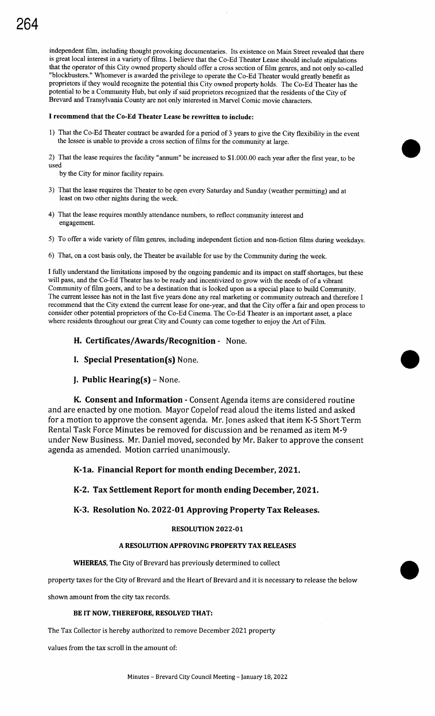# 264

independent film, including thought provoking documentaries. Its existence on Main Street revealed that there is great local interest in <sup>a</sup> variety of films. I believe that the Co -Ed Theater Lease should include stipulations that the operator of this City owned property should offer a cross section of film genres, and not only so-called "blockbusters." Whomever is awarded the privilege to operate the Co-Ed Theater would greatly benefit as proprietors if they would recognize the potential this City owned property holds. The Co-Ed Theater has the potential to be <sup>a</sup> Community Hub, but only if said proprietors recognized that the residents of the City of Brevard and Transylvania County are not only interested in Marvel Comic movie characters.

#### I recommend that the Co -Ed Theater Lease be rewritten to include:

1) That the Co -Ed Theater contract be awarded for <sup>a</sup> period of <sup>3</sup> years to give the City flexibility in the event the lessee is unable to provide <sup>a</sup> cross section of films for the community at large.

2) That the lease requires the facility "annum" be increased to  $$1.000.00$  each year after the first year, to be used

by the City for minor facility repairs.

- 3) That the lease requires the Theater to be open every Saturday and Sunday (weather permitting) and at least on two other nights during the week.
- 4) That the lease requires monthly attendance numbers, to reflect community interest and engagement.
- 5) To offer a wide variety of film genres, including independent fiction and non-fiction films during weekdays.
- 6) That, on a cost basis only, the Theater be available for use by the Community during the week.

I fully understand the limitations imposed by the ongoing pandemic and its impact on staff shortages, but these will pass, and the Co-Ed Theater has to be ready and incentivized to grow with the needs of of a vibrant Community of film goers, and to be <sup>a</sup> destination that is looked upon as <sup>a</sup> special place to build Community. The current lessee has not in the last five years done any real marketing or community outreach and therefore I recommend that the City extend the current lease for one- year, and that the City offer a fair and open process to consider other potential proprietors of the Co-Ed Cinema. The Co-Ed Theater is an important asset, a place where residents throughout our great City and County can come together to enjoy the Art of Film.

- H. Certificates/Awards/Recognition None.
- I. Special Presentation(s) None.
- J. Public Hearing $(s)$  None.

K. Consent and Information - Consent Agenda items are considered routine and are enacted by one motion. Mayor Copelof read aloud the items listed and asked for a motion to approve the consent agenda. Mr. Jones asked that item K-5 Short Term Rental Task Force Minutes be removed for discussion and be renamed as item M-9 under New Business. Mr. Daniel moved, seconded by Mr. Baker to approve the consent agenda as amended. Motion carried unanimously.

## K -1a. Financial Report for month ending December, 2021.

K-2. Tax Settlement Report for month ending December, 2 02 1.

## K-3. Resolution No. 2022-01 Approving Property Tax Releases.

## RESOLUTION 2022-01

## A RESOLUTION APPROVING PROPERTY TAX RELEASES

#### WHEREAS, The City of Brevard has previously determined to collect

property taxes for the City of Brevard and the Heart of Brevard and it is necessary to release the below 0

shown amount from the city tax records.

#### BE IT NOW, THEREFORE, RESOLVED THAT:

The Tax Collector is hereby authorized to remove December 2021 property

values from the tax scroll in the amount of: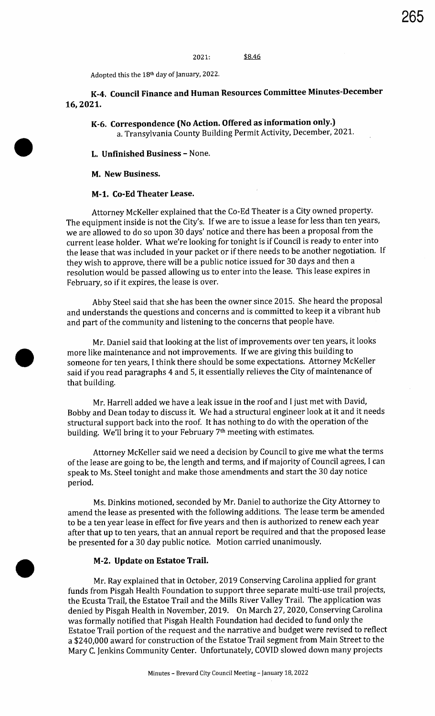Adopted this the 18<sup>th</sup> day of January, 2022.

# K-4. Council Finance and Human Resources Committee Minutes -December 16, 2021.

K-6. Correspondence (No Action. Offered as information only.) a. Transylvania County Building Permit Activity, December, 2021.

#### L. Unfinished Business - None.

M. New Business.

## M-1. Co-Ed Theater Lease.

Attorney McKeller explained that the Co -Ed Theater is a City owned property. The equipment inside is not the City's. If we are to issue a lease for less than ten years, we are allowed to do so upon 30 days' notice and there has been a proposal from the current lease holder. What we're looking for tonight is if Council is ready to enter into the lease that was included in your packet or if there needs to be another negotiation. If they wish to approve, there will be <sup>a</sup> public notice issued for 30 days and then <sup>a</sup> resolution would be passed allowing us to enter into the lease. This lease expires in February, so if it expires, the lease is over.

Abby Steel said that she has been the owner since 2015. She heard the proposal and understands the questions and concerns and is committed to keep it <sup>a</sup> vibrant hub and part of the community and listening to the concerns that people have.

Mr. Daniel said that looking at the list of improvements over ten years, it looks more like maintenance and not improvements. If we are giving this building to someone for ten years, I think there should be some expectations. Attorney McKeller said if you read paragraphs <sup>4</sup> and 5, it essentially relieves the City of maintenance of that building.

Mr. Harrell added we have a leak issue in the roof and I just met with David, Bobby and Dean today to discuss it. We had <sup>a</sup> structural engineer look at it and it needs structural support back into the roof. It has nothing to do with the operation of the building. We'll bring it to your February 7<sup>th</sup> meeting with estimates.

Attorney McKeller said we need a decision by Council to give me what the terms of the lease are going to be, the length and terms, and if majority of Council agrees, I can speak to Ms. Steel tonight and make those amendments and start the 30 day notice period.

Ms. Dinkins motioned, seconded by Mr. Daniel to authorize the City Attorney to amend the lease as presented with the following additions. The lease term be amended to be a ten year lease in effect for five years and then is authorized to renew each year after that up to ten years, that an annual report be required and that the proposed lease be presented for <sup>a</sup> 30 day public notice. Motion carried unanimously.

#### M-2. Update on Estatoe Trail.

Mr. Ray explained that in October, 2019 Conserving Carolina applied for grant funds from Pisgah Health Foundation to support three separate multi-use trail projects, the Ecusta Trail, the Estatoe Trail and the Mills River Valley Trail. The application was denied by Pisgah Health in November, 2019. On March 27, 2020, Conserving Carolina was formally notified that Pisgah Health Foundation had decided to fund only the Estatoe Trail portion of the request and the narrative and budget were revised to reflect a \$240,000 award for construction of the Estatoe Trail segment from Main Street to the Mary C. Jenkins Community Center. Unfortunately, COVID slowed down many projects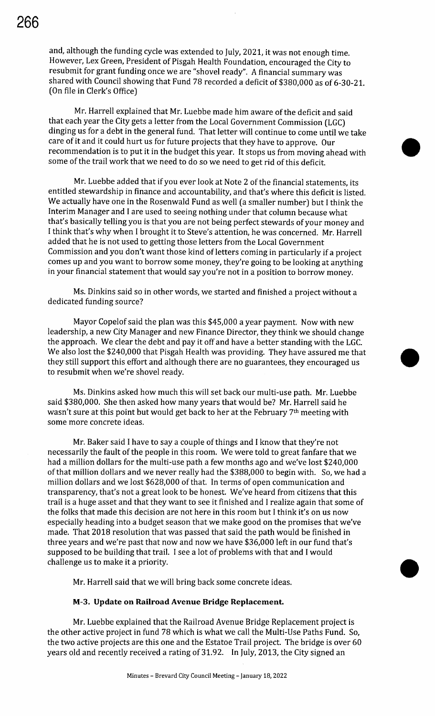and, although the funding cycle was extended to July, 2021, it was not enough time. However, Lex Green, President of Pisgah Health Foundation, encouraged the City to resubmit for grant funding once we are "shovel ready". A financial summary was shared with Council showing that Fund 78 recorded a deficit of \$380,000 as of 6-30-21. (On file in Clerk's Office)

Mr. Harrell explained that Mr. Luebbe made him aware of the deficit and said that each year the City gets a letter from the Local Government Commission ( LGC) dinging us for <sup>a</sup> debt in the general fund. That letter will continue to come until we take care of it and it could hurt us for future projects that they have to approve. Our recommendation is to put it in the budget this year. It stops us from moving ahead with some of the trail work that we need to do so we need to get rid of this deficit.

Mr. Luebbe added that if you ever look at Note <sup>2</sup> of the financial statements, its entitled stewardship in finance and accountability, and that's where this deficit is listed. We actually have one in the Rosenwald Fund as well (a smaller number) but I think the Interim Manager and I are used to seeing nothing under that column because what that's basically telling you is that you are not being perfect stewards of your money and I think that's why when I brought it to Steve's attention, he was concerned. Mr. Harrell added that he is not used to getting those letters from the Local Government Commission and you don't want those kind of letters coming in particularly if <sup>a</sup> project comes up and you want to borrow some money, they're going to be looking at anything in your financial statement that would say you' re not in a position to borrow money.

Ms. Dinkins said so in other words, we started and finished a project without a dedicated funding source?

Mayor Copelof said the plan was this \$45, 000 a year payment. Now with new leadership, a new City Manager and new Finance Director, they think we should change the approach. We clear the debt and pay it off and have <sup>a</sup> better standing with the LGC. We also lost the \$240,000 that Pisgah Health was providing. They have assured me that they still support this effort and although there are no guarantees, they encouraged us to resubmit when we're shovel ready.

Ms. Dinkins asked how much this will set back our multi-use path. Mr. Luebbe said \$380,000. She then asked how many years that would be? Mr. Harrell said he wasn't sure at this point but would get back to her at the February 7<sup>th</sup> meeting with some more concrete ideas.

Mr. Baker said I have to say a couple of things and I know that they're not necessarily the fault of the people in this room. We were told to great fanfare that we had a million dollars for the multi-use path a few months ago and we've lost \$240,000 of that million dollars and we never really had the \$388,000 to begin with. So, we had <sup>a</sup> million dollars and we lost \$628,000 of that. In terms of open communication and transparency, that's not a great look to be honest. We've heard from citizens that this trail is <sup>a</sup> huge asset and that they want to see it finished and <sup>I</sup> realize again that some of the folks that made this decision are not here in this room but I think it's on us now especially heading into a budget season that we make good on the promises that we've made. That 2018 resolution that was passed that said the path would be finished in three years and we're past that now and now we have \$36,000 left in our fund that's supposed to be building that trail. I see a lot of problems with that and I would challenge us to make it a priority. supposed to be building that trail. I see a lot or problems with that and I would<br>challenge us to make it a priority.<br>Mr. Harrell said that we will bring back some concrete ideas.

## M-3. Update on Railroad Avenue Bridge Replacement.

Mr. Luebbe explained that the Railroad Avenue Bridge Replacement project is the other active project in fund 78 which is what we call the Multi-Use Paths Fund. So, the two active projects are this one and the Estatoe Trail project. The bridge is over 60 years old and recently received a rating of 31.92. In July, 2013, the City signed an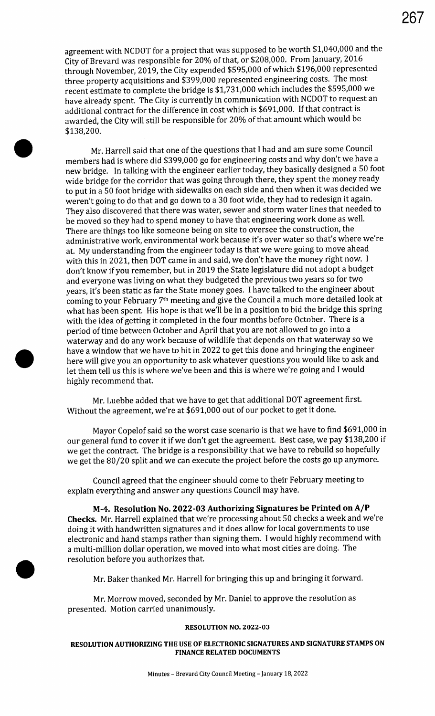agreement with NCDOT for a project that was supposed to be worth \$1,040,000 and the City of Brevard was responsible for 20% of that, or \$208,000. From January, 2016 through November, 2019, the City expended \$595,000 of which \$196,000 represented three property acquisitions and \$399,000 represented engineering costs. The most recent estimate to complete the bridge is \$1,731,000 which includes the \$595,000 we have already spent. The City is currently in communication with NCDOT to request an additional contract for the difference in cost which is \$691,000. If that contract is awarded, the City will still be responsible for 20% of that amount which would be 138,200.

Mr. Harrell said that one of the questions that I had and am sure some Council members had is where did \$399, 000 go for engineering costs and why don't we have <sup>a</sup> new bridge. In talking with the engineer earlier today, they basically designed <sup>a</sup> 50 foot wide bridge for the corridor that was going through there, they spent the money ready to put in <sup>a</sup> 50 foot bridge with sidewalks on each side and then when it was decided we weren't going to do that and go down to <sup>a</sup> 30 foot wide, they had to redesign it again. They also discovered that there was water, sewer and storm water lines that needed to be moved so they had to spend money to have that engineering work done as well. There are things too like someone being on site to oversee the construction, the administrative work, environmental work because it's over water so that's where we're at. My understanding from the engineer today is that we were going to move ahead with this in 2021, then DOT came in and said, we don't have the money right now. I don't know if you remember, but in 2019 the State legislature did not adopt <sup>a</sup> budget and everyone was living on what they budgeted the previous two years so for two years, it's been static as far the State money goes. I have talked to the engineer about coming to your February 7th meeting and give the Council a much more detailed look at what has been spent. His hope is that we'll be in a position to bid the bridge this spring with the idea of getting it completed in the four months before October. There is <sup>a</sup> period of time between October and April that you are not allowed to go into a waterway and do any work because of wildlife that depends on that waterway so we have <sup>a</sup> window that we have to hit in 2022 to get this done and bringing the engineer here will give you an opportunity to ask whatever questions you would like to ask and let them tell us this is where we've been and this is where we're going and I would highly recommend that.

Mr. Luebbe added that we have to get that additional DOT agreement first. Without the agreement, we're at \$691,000 out of our pocket to get it done.

Mayor Copelof said so the worst case scenario is that we have to find \$691,000 in our general fund to cover it if we don't get the agreement. Best case, we pay \$138,200 if we get the contract. The bridge is a responsibility that we have to rebuild so hopefully we get the 80/20 split and we can execute the project before the costs go up anymore.

Council agreed that the engineer should come to their February meeting to explain everything and answer any questions Council may have.

M-4. Resolution No. 2022-03 Authorizing Signatures be Printed on A/P Checks. Mr. Harrell explained that we're processing about 50 checks a week and we're doing it with handwritten signatures and it does allow for local governments to use electronic and hand stamps rather than signing them. I would highly recommend with <sup>a</sup> multi-million dollar operation, we moved into what most cities are doing. The resolution before you authorizes that.

Mr. Baker thanked Mr. Harrell for bringing this up and bringing it forward.

Mr. Morrow moved, seconded by Mr. Daniel to approve the resolution as presented. Motion carried unanimously.

#### RESOLUTION NO. 2022-03

## RESOLUTION AUTHORIZING THE USE OF ELECTRONIC SIGNATURES AND SIGNATURE STAMPS ON FINANCE RELATED DOCUMENTS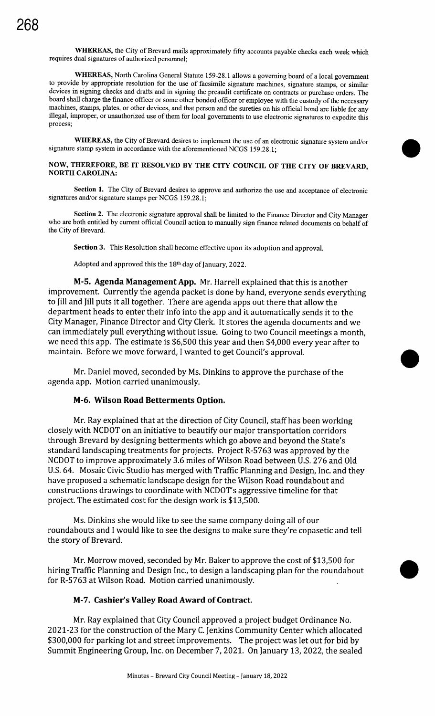WHEREAS, the City of Brevard mails approximately fifty accounts payable checks each week which requires dual signatures of authorized personnel;

WHEREAS, North Carolina General Statute 159-28. <sup>1</sup> allows <sup>a</sup> governing board of <sup>a</sup> local government to provide by appropriate resolution for the use of facsimile signature machines, signature stamps, or similar devices in signing checks and drafts and in signing the preaudit certificate on contracts or purchase orders. The board shall charge the finance officer or some other bonded officer or employee with the custody of the necessary machines, stamps, plates, or other devices, and that person and the sureties on his official bond are liable for any illegal, improper, or unauthorized use of them for local governments to use electronic signatures to expedite this process;

WHEREAS, the City of Brevard desires to implement the use of an electronic signature system and/or signature stamp system in accordance with the aforementioned NCGS 159.28.1;

#### NOW, THEREFORE, BE IT RESOLVED BY THE CITY COUNCIL OF THE CITY OF BREVARD, NORTH CAROLINA:

Section 1. The City of Brevard desires to approve and authorize the use and acceptance of electronic signatures and/or signature stamps per NCGS 159.28.1;

Section 2. The electronic signature approval shall be limited to the Finance Director and City Manager who are both entitled by current official Council action to manually sign finance related documents on behalf of the City of Brevard.

Section 3. This Resolution shall become effective upon its adoption and approval.

Adopted and approved this the 18<sup>th</sup> day of January, 2022.

M-5. Agenda Management App. Mr. Harrell explained that this is another improvement. Currently the agenda packet is done by hand, everyone sends everything to Jill and Jill puts it all together. There are agenda apps out there that allow the department heads to enter their info into the app and it automatically sends it to the City Manager, Finance Director and City Clerk. It stores the agenda documents and we can immediately pull everything without issue. Going to two Council meetings a month, we need this app. The estimate is \$6,500 this year and then \$4,000 every year after to maintain. Before we move forward, I wanted to get Council's approval.

Mr. Daniel moved, seconded by Ms. Dinkins to approve the purchase of the agenda app. Motion carried unanimously.

## M-6. Wilson Road Betterments Option.

Mr. Ray explained that at the direction of City Council, staff has been working closely with NCDOT on an initiative to beautify our major transportation corridors through Brevard by designing betterments which go above and beyond the State's standard landscaping treatments for projects. Project R- 5763 was approved by the NCDOT to improve approximately 3.6 miles of Wilson Road between U.S. 276 and Old U.S. 64. Mosaic Civic Studio has merged with Traffic Planning and Design, Inc. and they have proposed a schematic landscape design for the Wilson Road roundabout and constructions drawings to coordinate with NCDOT's aggressive timeline for that project. The estimated cost for the design work is \$13,500.

Ms. Dinkins she would like to see the same company doing all of our roundabouts and I would like to see the designs to make sure they're copasetic and tell the story of Brevard.

Mr. Morrow moved, seconded by Mr. Baker to approve the cost of \$13, 500 for hiring Traffic Planning and Design Inc., to design a landscaping plan for the roundabout • for R-5763 at Wilson Road. Motion carried unanimously.

## M-7. Cashier's Valley Road Award of Contract.

Mr. Ray explained that City Council approved a project budget Ordinance No. 2021-23 for the construction of the Mary C. Jenkins Community Center which allocated \$300,000 for parking lot and street improvements. The project was let out for bid by Summit Engineering Group, Inc. on December 7, 2021. On January 13, 2022, the sealed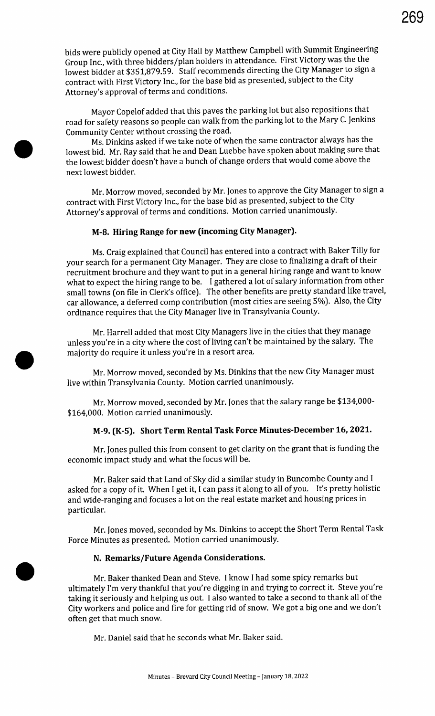bids were publicly opened at City Hall by Matthew Campbell with Summit Engineering Group Inc., with three bidders/ plan holders in attendance. First Victory was the the lowest bidder at \$351,879.59. Staff recommends directing the City Manager to sign <sup>a</sup> contract with First Victory Inc., for the base bid as presented, subject to the City Attorney's approval of terms and conditions.

Mayor Copelof added that this paves the parking lot but also repositions that road for safety reasons so people can walk from the parking lot to the Mary C. Jenkins Community Center without crossing the road.

Ms. Dinkins asked ifwe take note of when the same contractor always has the lowest bid. Mr. Ray said that he and Dean Luebbe have spoken about making sure that the lowest bidder doesn't have a bunch of change orders that would come above the next lowest bidder.

Mr. Morrow moved, seconded by Mr. Jones to approve the City Manager to sign a contract with First Victory Inc., for the base bid as presented, subject to the City Attorney's approval of terms and conditions. Motion carried unanimously.

## M-8. Hiring Range for new (incoming City Manager).

Ms. Craig explained that Council has entered into a contract with Baker Tilly for your search for <sup>a</sup> permanent City Manager. They are close to finalizing a draft of their recruitment brochure and they want to put in a general hiring range and want to know what to expect the hiring range to be. <sup>I</sup> gathered <sup>a</sup> lot of salary information from other small towns (on file in Clerk's office). The other benefits are pretty standard like travel, car allowance, a deferred comp contribution (most cities are seeing 5%). Also, the City ordinance requires that the City Manager live in Transylvania County.

Mr. Harrell added that most City Managers live in the cities that they manage unless you're in <sup>a</sup> city where the cost of living can't be maintained by the salary. The majority do require it unless you're in <sup>a</sup> resort area.

Mr. Morrow moved, seconded by Ms. Dinkins that the new City Manager must live within Transylvania County. Motion carried unanimously.

Mr. Morrow moved, seconded by Mr. Jones that the salary range be \$134,000-164,000. Motion carried unanimously.

## M-9. (K-5). Short Term Rental Task Force Minutes-December 16, 2021.

Mr. Jones pulled this from consent to get clarity on the grant that is funding the economic impact study and what the focus will be.

Mr. Baker said that Land of Sky did a similar study in Buncombe County and I asked for <sup>a</sup> copy of it. When <sup>I</sup> get it, I can pass it along to all of you. It's pretty holistic and wide-ranging and focuses a lot on the real estate market and housing prices in particular.

Mr. Jones moved, seconded by Ms. Dinkins to accept the Short Term Rental Task Force Minutes as presented. Motion carried unanimously.

## N. Remarks/Future Agenda Considerations.

Mr. Baker thanked Dean and Steve. I know I had some spicy remarks but ultimately I'm very thankful that you're digging in and trying to correct it. Steve you're taking it seriously and helping us out. I also wanted to take <sup>a</sup> second to thank all of the City workers and police and fire for getting rid of snow. We got a big one and we don't often get that much snow.

Mr. Daniel said that he seconds what Mr. Baker said.